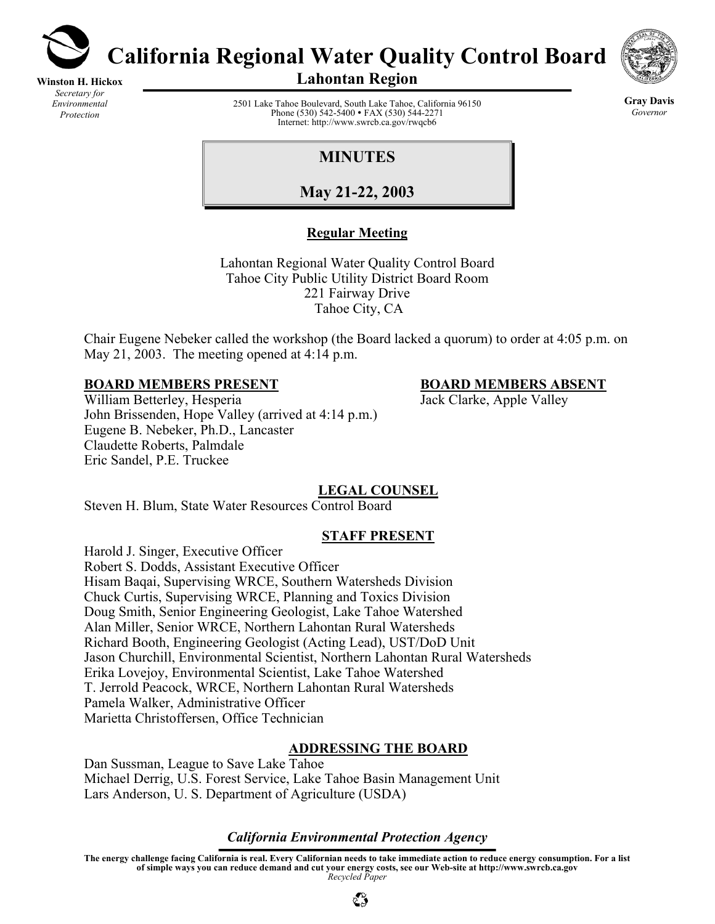

**Winston H. Hickox** *Secretary for Environmental Protection* 

**California Regional Water Quality Control Board** 



**Lahontan Region** 

2501 Lake Tahoe Boulevard, South Lake Tahoe, California 96150 Phone (530) 542-5400 • FAX (530) 544-2271 Internet: http://www.swrcb.ca.gov/rwqcb6

**Gray Davis** *Governor* 

# **MINUTES**

**May 21-22, 2003**

# **Regular Meeting**

Lahontan Regional Water Quality Control Board Tahoe City Public Utility District Board Room 221 Fairway Drive Tahoe City, CA

Chair Eugene Nebeker called the workshop (the Board lacked a quorum) to order at 4:05 p.m. on May 21, 2003. The meeting opened at 4:14 p.m.

## **BOARD MEMBERS PRESENT BOARD MEMBERS ABSENT**

William Betterley, Hesperia Jack Clarke, Apple Valley John Brissenden, Hope Valley (arrived at 4:14 p.m.) Eugene B. Nebeker, Ph.D., Lancaster Claudette Roberts, Palmdale Eric Sandel, P.E. Truckee

# **LEGAL COUNSEL**

Steven H. Blum, State Water Resources Control Board

# **STAFF PRESENT**

Harold J. Singer, Executive Officer Robert S. Dodds, Assistant Executive Officer Hisam Baqai, Supervising WRCE, Southern Watersheds Division Chuck Curtis, Supervising WRCE, Planning and Toxics Division Doug Smith, Senior Engineering Geologist, Lake Tahoe Watershed Alan Miller, Senior WRCE, Northern Lahontan Rural Watersheds Richard Booth, Engineering Geologist (Acting Lead), UST/DoD Unit Jason Churchill, Environmental Scientist, Northern Lahontan Rural Watersheds Erika Lovejoy, Environmental Scientist, Lake Tahoe Watershed T. Jerrold Peacock, WRCE, Northern Lahontan Rural Watersheds Pamela Walker, Administrative Officer Marietta Christoffersen, Office Technician

#### **ADDRESSING THE BOARD**

Dan Sussman, League to Save Lake Tahoe Michael Derrig, U.S. Forest Service, Lake Tahoe Basin Management Unit Lars Anderson, U. S. Department of Agriculture (USDA)

#### *California Environmental Protection Agency*

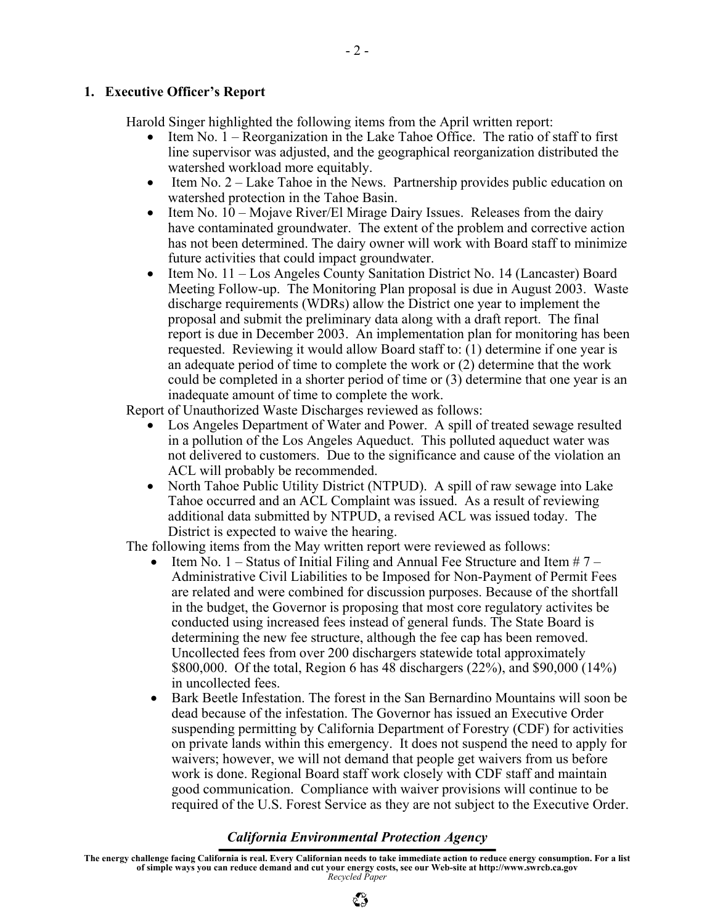#### **1. Executive Officer's Report**

Harold Singer highlighted the following items from the April written report:

- Item No. 1 Reorganization in the Lake Tahoe Office. The ratio of staff to first line supervisor was adjusted, and the geographical reorganization distributed the watershed workload more equitably.
- Item No.  $2 -$  Lake Tahoe in the News. Partnership provides public education on watershed protection in the Tahoe Basin.
- Item No.  $10 \text{Moiave River/El Mirage Dairy Issues}$ . Releases from the dairy have contaminated groundwater. The extent of the problem and corrective action has not been determined. The dairy owner will work with Board staff to minimize future activities that could impact groundwater.
- Item No. 11 Los Angeles County Sanitation District No. 14 (Lancaster) Board Meeting Follow-up. The Monitoring Plan proposal is due in August 2003. Waste discharge requirements (WDRs) allow the District one year to implement the proposal and submit the preliminary data along with a draft report. The final report is due in December 2003. An implementation plan for monitoring has been requested. Reviewing it would allow Board staff to: (1) determine if one year is an adequate period of time to complete the work or (2) determine that the work could be completed in a shorter period of time or (3) determine that one year is an inadequate amount of time to complete the work.

Report of Unauthorized Waste Discharges reviewed as follows:

- Los Angeles Department of Water and Power. A spill of treated sewage resulted in a pollution of the Los Angeles Aqueduct. This polluted aqueduct water was not delivered to customers. Due to the significance and cause of the violation an ACL will probably be recommended.
- North Tahoe Public Utility District (NTPUD). A spill of raw sewage into Lake Tahoe occurred and an ACL Complaint was issued. As a result of reviewing additional data submitted by NTPUD, a revised ACL was issued today. The District is expected to waive the hearing.

The following items from the May written report were reviewed as follows:

- Item No. 1 Status of Initial Filing and Annual Fee Structure and Item # 7 Administrative Civil Liabilities to be Imposed for Non-Payment of Permit Fees are related and were combined for discussion purposes. Because of the shortfall in the budget, the Governor is proposing that most core regulatory activites be conducted using increased fees instead of general funds. The State Board is determining the new fee structure, although the fee cap has been removed. Uncollected fees from over 200 dischargers statewide total approximately \$800,000. Of the total, Region 6 has 48 dischargers (22%), and \$90,000 (14%) in uncollected fees.
- Bark Beetle Infestation. The forest in the San Bernardino Mountains will soon be dead because of the infestation. The Governor has issued an Executive Order suspending permitting by California Department of Forestry (CDF) for activities on private lands within this emergency. It does not suspend the need to apply for waivers; however, we will not demand that people get waivers from us before work is done. Regional Board staff work closely with CDF staff and maintain good communication. Compliance with waiver provisions will continue to be required of the U.S. Forest Service as they are not subject to the Executive Order.

#### *California Environmental Protection Agency*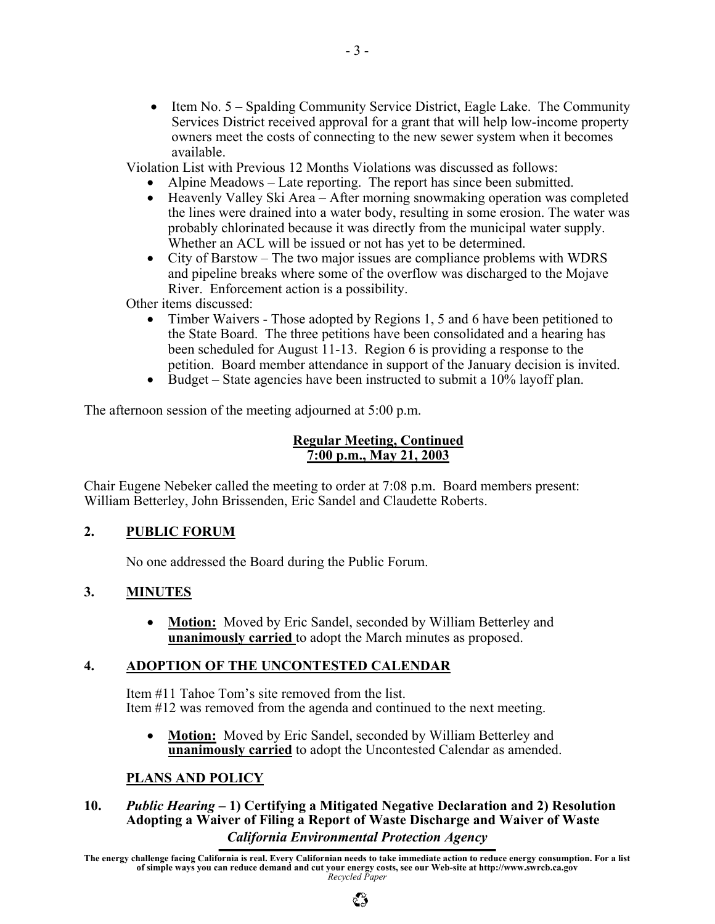• Item No. 5 – Spalding Community Service District, Eagle Lake. The Community Services District received approval for a grant that will help low-income property owners meet the costs of connecting to the new sewer system when it becomes available.

Violation List with Previous 12 Months Violations was discussed as follows:

- Alpine Meadows Late reporting. The report has since been submitted.
- Heavenly Valley Ski Area After morning snowmaking operation was completed the lines were drained into a water body, resulting in some erosion. The water was probably chlorinated because it was directly from the municipal water supply. Whether an ACL will be issued or not has yet to be determined.
- City of Barstow The two major issues are compliance problems with WDRS and pipeline breaks where some of the overflow was discharged to the Mojave River. Enforcement action is a possibility.

Other items discussed:

- Timber Waivers Those adopted by Regions 1, 5 and 6 have been petitioned to the State Board. The three petitions have been consolidated and a hearing has been scheduled for August 11-13. Region 6 is providing a response to the petition. Board member attendance in support of the January decision is invited.
- Budget State agencies have been instructed to submit a 10% layoff plan.

The afternoon session of the meeting adjourned at 5:00 p.m.

## **Regular Meeting, Continued 7:00 p.m., May 21, 2003**

Chair Eugene Nebeker called the meeting to order at 7:08 p.m. Board members present: William Betterley, John Brissenden, Eric Sandel and Claudette Roberts.

# **2. PUBLIC FORUM**

No one addressed the Board during the Public Forum.

#### **3. MINUTES**

• **Motion:** Moved by Eric Sandel, seconded by William Betterley and **unanimously carried** to adopt the March minutes as proposed.

# **4. ADOPTION OF THE UNCONTESTED CALENDAR**

Item #11 Tahoe Tom's site removed from the list. Item #12 was removed from the agenda and continued to the next meeting.

• **Motion:** Moved by Eric Sandel, seconded by William Betterley and **unanimously carried** to adopt the Uncontested Calendar as amended.

# **PLANS AND POLICY**

## *California Environmental Protection Agency* **10.** *Public Hearing* **– 1) Certifying a Mitigated Negative Declaration and 2) Resolution Adopting a Waiver of Filing a Report of Waste Discharge and Waiver of Waste**

**The energy challenge facing California is real. Every Californian needs to take immediate action to reduce energy consumption. For a list of simple ways you can reduce demand and cut your energy costs, see our Web-site at http://www.swrcb.ca.gov**  *Recycled Paper*

# $\mathbb{C}^{\infty}_{\mathcal{P}}$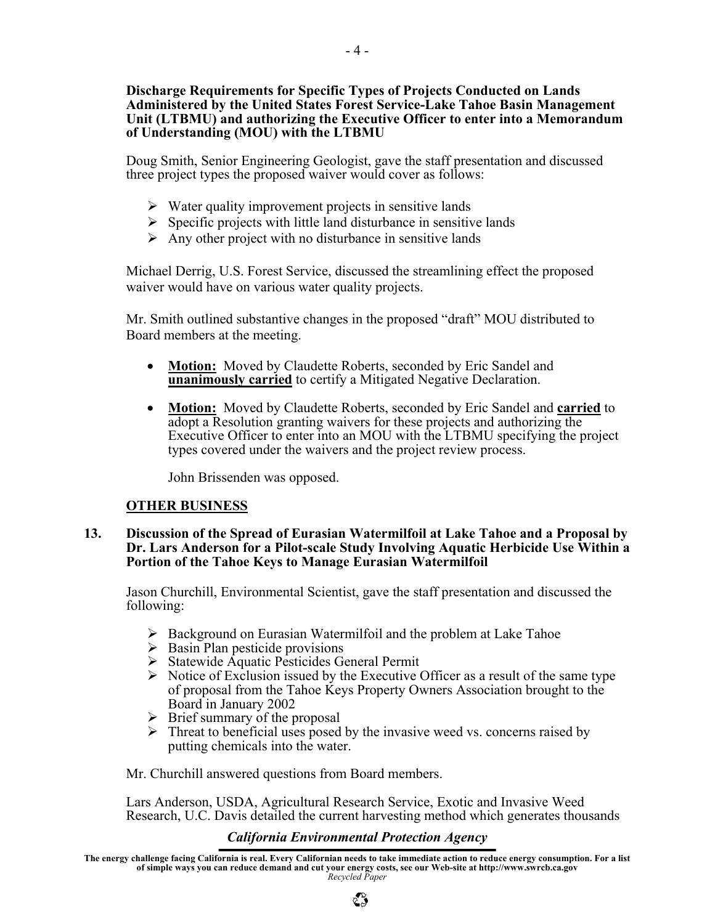#### **Discharge Requirements for Specific Types of Projects Conducted on Lands Administered by the United States Forest Service-Lake Tahoe Basin Management Unit (LTBMU) and authorizing the Executive Officer to enter into a Memorandum of Understanding (MOU) with the LTBMU**

Doug Smith, Senior Engineering Geologist, gave the staff presentation and discussed three project types the proposed waiver would cover as follows:

- $\triangleright$  Water quality improvement projects in sensitive lands
- $\triangleright$  Specific projects with little land disturbance in sensitive lands
- $\triangleright$  Any other project with no disturbance in sensitive lands

Michael Derrig, U.S. Forest Service, discussed the streamlining effect the proposed waiver would have on various water quality projects.

Mr. Smith outlined substantive changes in the proposed "draft" MOU distributed to Board members at the meeting.

- **Motion:** Moved by Claudette Roberts, seconded by Eric Sandel and **unanimously carried** to certify a Mitigated Negative Declaration.
- **Motion:** Moved by Claudette Roberts, seconded by Eric Sandel and **carried** to adopt a Resolution granting waivers for these projects and authorizing the Executive Officer to enter into an MOU with the LTBMU specifying the project types covered under the waivers and the project review process.

John Brissenden was opposed.

# **OTHER BUSINESS**

#### **13. Discussion of the Spread of Eurasian Watermilfoil at Lake Tahoe and a Proposal by Dr. Lars Anderson for a Pilot-scale Study Involving Aquatic Herbicide Use Within a Portion of the Tahoe Keys to Manage Eurasian Watermilfoil**

Jason Churchill, Environmental Scientist, gave the staff presentation and discussed the following:

- $\triangleright$  Background on Eurasian Watermilfoil and the problem at Lake Tahoe
- $\triangleright$  Basin Plan pesticide provisions
- $\triangleright$  Statewide Aquatic Pesticides General Permit
- $\triangleright$  Notice of Exclusion issued by the Executive Officer as a result of the same type of proposal from the Tahoe Keys Property Owners Association brought to the Board in January 2002
- $\triangleright$  Brief summary of the proposal
- $\triangleright$  Threat to beneficial uses posed by the invasive weed vs. concerns raised by putting chemicals into the water.

Mr. Churchill answered questions from Board members.

 Lars Anderson, USDA, Agricultural Research Service, Exotic and Invasive Weed Research, U.C. Davis detailed the current harvesting method which generates thousands

# *California Environmental Protection Agency*